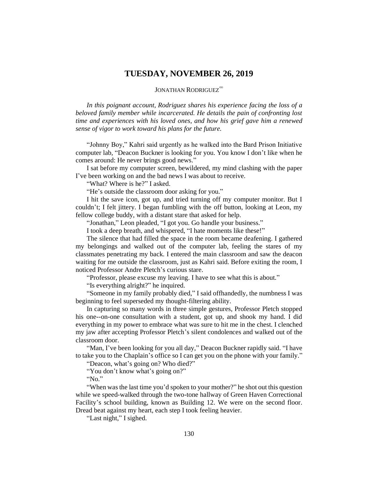## **TUESDAY, NOVEMBER 26, 2019**

JONATHAN RODRIGUEZ<sup>∞</sup>

*In this poignant account, Rodriguez shares his experience facing the loss of a beloved family member while incarcerated. He details the pain of confronting lost time and experiences with his loved ones, and how his grief gave him a renewed sense of vigor to work toward his plans for the future.*

"Johnny Boy," Kahri said urgently as he walked into the Bard Prison Initiative computer lab, "Deacon Buckner is looking for you. You know I don't like when he comes around: He never brings good news."

I sat before my computer screen, bewildered, my mind clashing with the paper I've been working on and the bad news I was about to receive.

"What? Where is he?" I asked.

"He's outside the classroom door asking for you."

I hit the save icon, got up, and tried turning off my computer monitor. But I couldn't; I felt jittery. I began fumbling with the off button, looking at Leon, my fellow college buddy, with a distant stare that asked for help.

"Jonathan," Leon pleaded, "I got you. Go handle your business."

I took a deep breath, and whispered, "I hate moments like these!"

The silence that had filled the space in the room became deafening. I gathered my belongings and walked out of the computer lab, feeling the stares of my classmates penetrating my back. I entered the main classroom and saw the deacon waiting for me outside the classroom, just as Kahri said. Before exiting the room, I noticed Professor Andre Pletch's curious stare.

"Professor, please excuse my leaving. I have to see what this is about."

"Is everything alright?" he inquired.

"Someone in my family probably died," I said offhandedly, the numbness I was beginning to feel superseded my thought-filtering ability.

In capturing so many words in three simple gestures, Professor Pletch stopped his one--on-one consultation with a student, got up, and shook my hand. I did everything in my power to embrace what was sure to hit me in the chest. I clenched my jaw after accepting Professor Pletch's silent condolences and walked out of the classroom door.

"Man, I've been looking for you all day," Deacon Buckner rapidly said. "I have to take you to the Chaplain's office so I can get you on the phone with your family."

"Deacon, what's going on? Who died?"

"You don't know what's going on?"

"No."

"When was the last time you'd spoken to your mother?" he shot out this question while we speed-walked through the two-tone hallway of Green Haven Correctional Facility's school building, known as Building 12. We were on the second floor. Dread beat against my heart, each step I took feeling heavier.

"Last night," I sighed.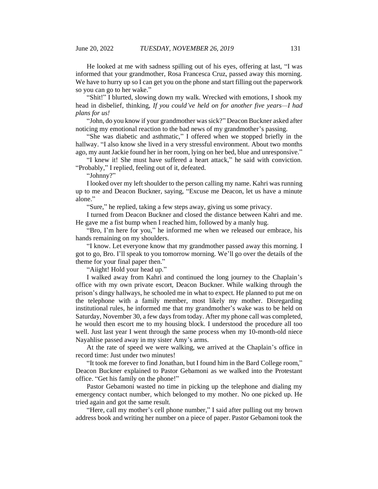He looked at me with sadness spilling out of his eyes, offering at last, "I was informed that your grandmother, Rosa Francesca Cruz, passed away this morning. We have to hurry up so I can get you on the phone and start filling out the paperwork so you can go to her wake."

"Shit!" I blurted, slowing down my walk. Wrecked with emotions, I shook my head in disbelief, thinking, *If you could've held on for another five years—I had plans for us!*

"John, do you know if your grandmother was sick?" Deacon Buckner asked after noticing my emotional reaction to the bad news of my grandmother's passing.

"She was diabetic and asthmatic," I offered when we stopped briefly in the hallway. "I also know she lived in a very stressful environment. About two months ago, my aunt Jackie found her in her room, lying on her bed, blue and unresponsive."

"I knew it! She must have suffered a heart attack," he said with conviction. "Probably," I replied, feeling out of it, defeated.

"Johnny?"

I looked over my left shoulder to the person calling my name. Kahri was running up to me and Deacon Buckner, saying, "Excuse me Deacon, let us have a minute alone."

"Sure," he replied, taking a few steps away, giving us some privacy.

I turned from Deacon Buckner and closed the distance between Kahri and me. He gave me a fist bump when I reached him, followed by a manly hug.

"Bro, I'm here for you," he informed me when we released our embrace, his hands remaining on my shoulders.

"I know. Let everyone know that my grandmother passed away this morning. I got to go, Bro. I'll speak to you tomorrow morning. We'll go over the details of the theme for your final paper then."

"Aiight! Hold your head up."

I walked away from Kahri and continued the long journey to the Chaplain's office with my own private escort, Deacon Buckner. While walking through the prison's dingy hallways, he schooled me in what to expect. He planned to put me on the telephone with a family member, most likely my mother. Disregarding institutional rules, he informed me that my grandmother's wake was to be held on Saturday, November 30, a few days from today. After my phone call was completed, he would then escort me to my housing block. I understood the procedure all too well. Just last year I went through the same process when my 10-month-old niece Nayahlise passed away in my sister Amy's arms.

At the rate of speed we were walking, we arrived at the Chaplain's office in record time: Just under two minutes!

"It took me forever to find Jonathan, but I found him in the Bard College room," Deacon Buckner explained to Pastor Gebamoni as we walked into the Protestant office. "Get his family on the phone!"

Pastor Gebamoni wasted no time in picking up the telephone and dialing my emergency contact number, which belonged to my mother. No one picked up. He tried again and got the same result.

"Here, call my mother's cell phone number," I said after pulling out my brown address book and writing her number on a piece of paper. Pastor Gebamoni took the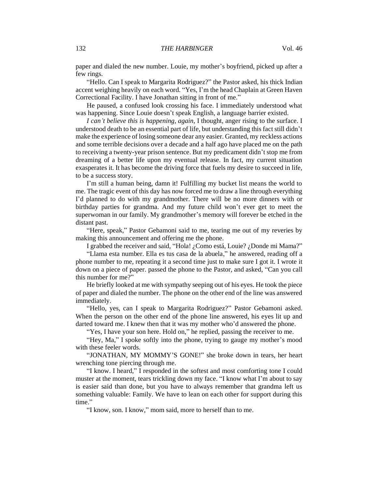paper and dialed the new number. Louie, my mother's boyfriend, picked up after a few rings.

"Hello. Can I speak to Margarita Rodriguez?" the Pastor asked, his thick Indian accent weighing heavily on each word. "Yes, I'm the head Chaplain at Green Haven Correctional Facility. I have Jonathan sitting in front of me."

He paused, a confused look crossing his face. I immediately understood what was happening. Since Louie doesn't speak English, a language barrier existed.

*I can't believe this is happening, again,* I thought, anger rising to the surface. I understood death to be an essential part of life, but understanding this fact still didn't make the experience of losing someone dear any easier. Granted, my reckless actions and some terrible decisions over a decade and a half ago have placed me on the path to receiving a twenty-year prison sentence. But my predicament didn't stop me from dreaming of a better life upon my eventual release. In fact, my current situation exasperates it. It has become the driving force that fuels my desire to succeed in life, to be a success story.

I'm still a human being, damn it! Fulfilling my bucket list means the world to me. The tragic event of this day has now forced me to draw a line through everything I'd planned to do with my grandmother. There will be no more dinners with or birthday parties for grandma. And my future child won't ever get to meet the superwoman in our family. My grandmother's memory will forever be etched in the distant past.

"Here, speak," Pastor Gebamoni said to me, tearing me out of my reveries by making this announcement and offering me the phone.

I grabbed the receiver and said, "Hola! ¿Como está, Louie? ¿Donde mi Mama?"

"Llama esta number. Ella es tus casa de la abuela," he answered, reading off a phone number to me, repeating it a second time just to make sure I got it. I wrote it down on a piece of paper. passed the phone to the Pastor, and asked, "Can you call this number for me?"

He briefly looked at me with sympathy seeping out of his eyes. He took the piece of paper and dialed the number. The phone on the other end of the line was answered immediately.

"Hello, yes, can I speak to Margarita Rodriguez?" Pastor Gebamoni asked. When the person on the other end of the phone line answered, his eyes lit up and darted toward me. I knew then that it was my mother who'd answered the phone.

"Yes, I have your son here. Hold on," he replied, passing the receiver to me.

"Hey, Ma," I spoke softly into the phone, trying to gauge my mother's mood with these feeler words.

"JONATHAN, MY MOMMY'S GONE!" she broke down in tears, her heart wrenching tone piercing through me.

"I know. I heard," I responded in the softest and most comforting tone I could muster at the moment, tears trickling down my face. "I know what I'm about to say is easier said than done, but you have to always remember that grandma left us something valuable: Family. We have to lean on each other for support during this time"

"I know, son. I know," mom said, more to herself than to me.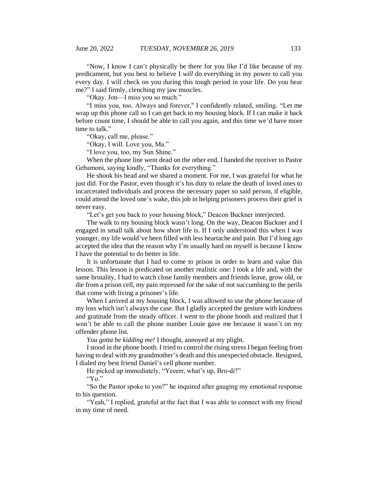"Now, I know I can't physically be there for you like I'd like because of my predicament, but you best to believe I *will* do everything in my power to call you every day. I will check on you during this tough period in your life. Do you hear me?" I said firmly, clenching my jaw muscles.

"Okay. Jon—I miss you so much."

"I miss you, too. Always and forever," I confidently related, smiling. "Let me wrap up this phone call so I can get back to my housing block. If I can make it back before count time, I should be able to call you again, and this time we'd have more time to talk."

"Okay, call me, please."

"Okay, I will. Love you, Ma."

"I love you, too, my Sun Shine."

When the phone line went dead on the other end, I handed the receiver to Pastor Gebamoni, saying kindly, "Thanks for everything."

He shook his head and we shared a moment. For me, I was grateful for what he just did. For the Pastor, even though it's his duty to relate the death of loved ones to incarcerated individuals and process the necessary paper so said person, if eligible, could attend the loved one's wake, this job in helping prisoners process their grief is never easy.

"Let's get you back to your housing block," Deacon Buckner interjected.

The walk to my housing block wasn't long. On the way, Deacon Buckner and I engaged in small talk about how short life is. If I only understood this when I was younger, my life would've been filled with less heartache and pain. But I'd long ago accepted the idea that the reason why I'm usually hard on myself is because I know I have the potential to do better in life.

It is unfortunate that I had to come to prison in order to learn and value this lesson. This lesson is predicated on another realistic one: I took a life and, with the same brutality, I had to watch close family members and friends leave, grow old, or die from a prison cell, my pain repressed for the sake of not succumbing to the perils that come with living a prisoner's life.

When I arrived at my housing block, I was allowed to use the phone because of my loss which isn't always the case. But I gladly accepted the gesture with kindness and gratitude from the steady officer. I went to the phone booth and realized that I won't be able to call the phone number Louie gave me because it wasn't on my offender phone list.

*You gotta be kidding me!* I thought, annoyed at my plight.

I stood in the phone booth. I tried to control the rising stress I began feeling from having to deal with my grandmother's death and this unexpected obstacle. Resigned, I dialed my best friend Daniel's cell phone number.

He picked up immediately, "Yeeerr, what's up, Bro-di?"

"Yo."

"So the Pastor spoke to you?" he inquired after gauging my emotional response to his question.

"Yeah," I replied, grateful at the fact that I was able to connect with my friend in my time of need.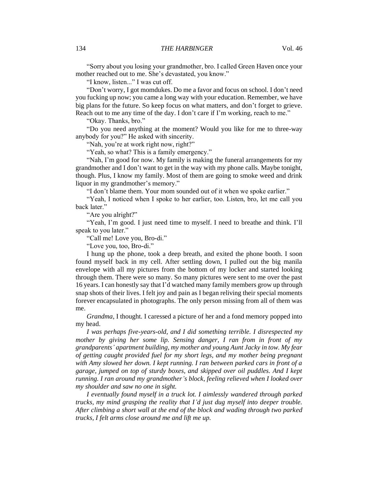"Sorry about you losing your grandmother, bro. I called Green Haven once your mother reached out to me. She's devastated, you know."

"I know, listen..." I was cut off.

"Don't worry, I got momdukes. Do me a favor and focus on school. I don't need you fucking up now; you came a long way with your education. Remember, we have big plans for the future. So keep focus on what matters, and don't forget to grieve. Reach out to me any time of the day. I don't care if I'm working, reach to me."

"Okay. Thanks, bro."

"Do you need anything at the moment? Would you like for me to three-way anybody for you?" He asked with sincerity.

"Nah, you're at work right now, right?"

"Yeah, so what? This is a family emergency."

"Nah, I'm good for now. My family is making the funeral arrangements for my grandmother and I don't want to get in the way with my phone calls. Maybe tonight, though. Plus, I know my family. Most of them are going to smoke weed and drink liquor in my grandmother's memory."

"I don't blame them. Your mom sounded out of it when we spoke earlier."

"Yeah, I noticed when I spoke to her earlier, too. Listen, bro, let me call you back later."

"Are you alright?"

"Yeah, I'm good. I just need time to myself. I need to breathe and think. I'll speak to you later."

"Call me! Love you, Bro-di."

"Love you, too, Bro-di."

I hung up the phone, took a deep breath, and exited the phone booth. I soon found myself back in my cell. After settling down, I pulled out the big manila envelope with all my pictures from the bottom of my locker and started looking through them. There were so many. So many pictures were sent to me over the past 16 years. I can honestly say that I'd watched many family members grow up through snap shots of their lives. I felt joy and pain as I began reliving their special moments forever encapsulated in photographs. The only person missing from all of them was me.

*Grandma*, I thought. I caressed a picture of her and a fond memory popped into my head.

*I was perhaps five-years-old, and I did something terrible. I disrespected my mother by giving her some lip. Sensing danger, I ran from in front of my grandparents' apartment building, my mother and young Aunt Jacky in tow. My fear of getting caught provided fuel for my short legs, and my mother being pregnant with Amy slowed her down. I kept running. I ran between parked cars in front of a garage, jumped on top of sturdy boxes, and skipped over oil puddles. And I kept running. I ran around my grandmother's block, feeling relieved when I looked over my shoulder and saw no one in sight.*

*I eventually found myself in a truck lot. I aimlessly wandered through parked trucks, my mind grasping the reality that I'd just dug myself into deeper trouble. After climbing a short wall at the end of the block and wading through two parked trucks, I felt arms close around me and lift me up.*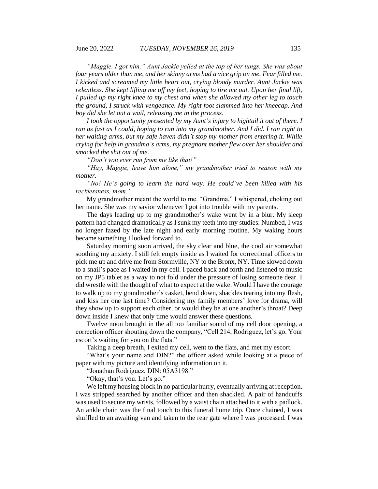*"Maggie, I got him," Aunt Jackie yelled at the top of her lungs. She was about four years older than me, and her skinny arms had a vice grip on me. Fear filled me. I kicked and screamed my little heart out, crying bloody murder. Aunt Jackie was relentless. She kept lifting me off my feet, hoping to tire me out. Upon her final lift, I pulled up my right knee to my chest and when she allowed my other leg to touch the ground, I struck with vengeance. My right foot slammed into her kneecap. And boy did she let out a wail, releasing me in the process.* 

*I took the opportunity presented by my Aunt's injury to hightail it out of there. I ran as fast as I could, hoping to run into my grandmother. And I did. I ran right to her waiting arms, but my safe haven didn't stop my mother from entering it. While crying for help in grandma's arms, my pregnant mother flew over her shoulder and smacked the shit out of me.*

*"Don't you ever run from me like that!"*

*"Hay, Maggie, leave him alone," my grandmother tried to reason with my mother.*

*"No! He's going to learn the hard way. He could've been killed with his recklessness, mom."*

My grandmother meant the world to me. "Grandma," I whispered, choking out her name. She was my savior whenever I got into trouble with my parents.

The days leading up to my grandmother's wake went by in a blur. My sleep pattern had changed dramatically as I sunk my teeth into my studies. Numbed, I was no longer fazed by the late night and early morning routine. My waking hours became something I looked forward to.

Saturday morning soon arrived, the sky clear and blue, the cool air somewhat soothing my anxiety. I still felt empty inside as I waited for correctional officers to pick me up and drive me from Stormville, NY to the Bronx, NY. Time slowed down to a snail's pace as I waited in my cell. I paced back and forth and listened to music on my JP5 tablet as a way to not fold under the pressure of losing someone dear. I did wrestle with the thought of what to expect at the wake. Would I have the courage to walk up to my grandmother's casket, bend down, shackles tearing into my flesh, and kiss her one last time? Considering my family members' love for drama, will they show up to support each other, or would they be at one another's throat? Deep down inside I knew that only time would answer these questions.

Twelve noon brought in the all too familiar sound of my cell door opening, a correction officer shouting down the company, "Cell 214, Rodriguez, let's go. Your escort's waiting for you on the flats."

Taking a deep breath, I exited my cell, went to the flats, and met my escort.

"What's your name and DIN?" the officer asked while looking at a piece of paper with my picture and identifying information on it.

"Jonathan Rodriguez, DIN: 05A3198."

"Okay, that's you. Let's go."

We left my housing block in no particular hurry, eventually arriving at reception. I was stripped searched by another officer and then shackled. A pair of handcuffs was used to secure my wrists, followed by a waist chain attached to it with a padlock. An ankle chain was the final touch to this funeral home trip. Once chained, I was shuffled to an awaiting van and taken to the rear gate where I was processed. I was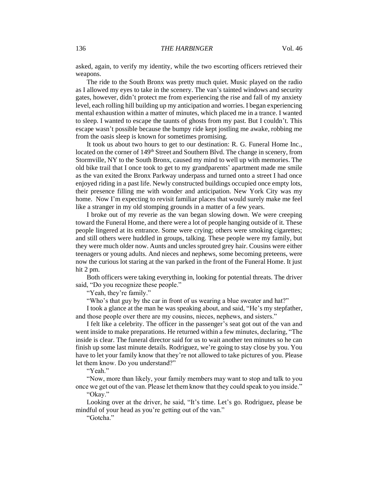asked, again, to verify my identity, while the two escorting officers retrieved their weapons.

The ride to the South Bronx was pretty much quiet. Music played on the radio as I allowed my eyes to take in the scenery. The van's tainted windows and security gates, however, didn't protect me from experiencing the rise and fall of my anxiety level, each rolling hill building up my anticipation and worries. I began experiencing mental exhaustion within a matter of minutes, which placed me in a trance. I wanted to sleep. I wanted to escape the taunts of ghosts from my past. But I couldn't. This escape wasn't possible because the bumpy ride kept jostling me awake, robbing me from the oasis sleep is known for sometimes promising.

It took us about two hours to get to our destination: R. G. Funeral Home Inc., located on the corner of 149<sup>th</sup> Street and Southern Blvd. The change in scenery, from Stormville, NY to the South Bronx, caused my mind to well up with memories. The old bike trail that I once took to get to my grandparents' apartment made me smile as the van exited the Bronx Parkway underpass and turned onto a street I had once enjoyed riding in a past life. Newly constructed buildings occupied once empty lots, their presence filling me with wonder and anticipation. New York City was my home. Now I'm expecting to revisit familiar places that would surely make me feel like a stranger in my old stomping grounds in a matter of a few years.

I broke out of my reverie as the van began slowing down. We were creeping toward the Funeral Home, and there were a lot of people hanging outside of it. These people lingered at its entrance. Some were crying; others were smoking cigarettes; and still others were huddled in groups, talking. These people were my family, but they were much older now. Aunts and uncles sprouted grey hair. Cousins were either teenagers or young adults. And nieces and nephews, some becoming preteens, were now the curious lot staring at the van parked in the front of the Funeral Home. It just hit 2 pm.

Both officers were taking everything in, looking for potential threats. The driver said, "Do you recognize these people."

"Yeah, they're family."

"Who's that guy by the car in front of us wearing a blue sweater and hat?"

I took a glance at the man he was speaking about, and said, "He's my stepfather, and those people over there are my cousins, nieces, nephews, and sisters."

I felt like a celebrity. The officer in the passenger's seat got out of the van and went inside to make preparations. He returned within a few minutes, declaring, "The inside is clear. The funeral director said for us to wait another ten minutes so he can finish up some last minute details. Rodriguez, we're going to stay close by you. You have to let your family know that they're not allowed to take pictures of you. Please let them know. Do you understand?"

"Yeah."

"Now, more than likely, your family members may want to stop and talk to you once we get out of the van. Please let them know that they could speak to you inside." "Okay."

Looking over at the driver, he said, "It's time. Let's go. Rodriguez, please be mindful of your head as you're getting out of the van."

"Gotcha."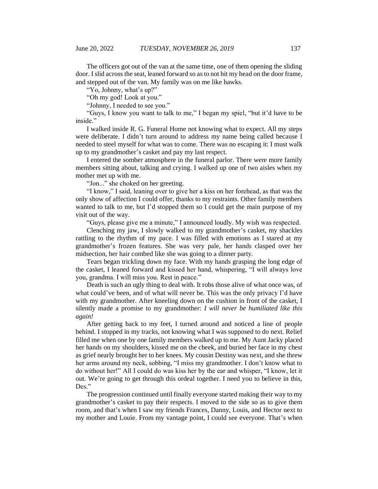The officers got out of the van at the same time, one of them opening the sliding door. I slid across the seat, leaned forward so as to not hit my head on the door frame, and stepped out of the van. My family was on me like hawks.

"Yo, Johnny, what's up?"

"Oh my god! Look at you."

"Johnny, I needed to see you."

"Guys, I know you want to talk to me," I began my spiel, "but it'd have to be inside."

I walked inside R. G. Funeral Home not knowing what to expect. All my steps were deliberate. I didn't turn around to address my name being called because I needed to steel myself for what was to come. There was no escaping it: I must walk up to my grandmother's casket and pay my last respect.

I entered the somber atmosphere in the funeral parlor. There were more family members sitting about, talking and crying. I walked up one of two aisles when my mother met up with me.

"Jon..." she choked on her greeting.

"I know," I said, leaning over to give her a kiss on her forehead, as that was the only show of affection I could offer, thanks to my restraints. Other family members wanted to talk to me, but I'd stopped them so I could get the main purpose of my visit out of the way.

"Guys, please give me a minute," I announced loudly. My wish was respected.

Clenching my jaw, I slowly walked to my grandmother's casket, my shackles rattling to the rhythm of my pace. I was filled with emotions as I stared at my grandmother's frozen features. She was very pale, her hands clasped over her midsection, her hair combed like she was going to a dinner party.

Tears began trickling down my face. With my hands grasping the long edge of the casket, I leaned forward and kissed her hand, whispering, "I will always love you, grandma. I will miss you. Rest in peace."

Death is such an ugly thing to deal with. It robs those alive of what once was, of what could've been, and of what will never be. This was the only privacy I'd have with my grandmother. After kneeling down on the cushion in front of the casket, I silently made a promise to my grandmother: *I will never be humiliated like this again!*

After getting back to my feet, I turned around and noticed a line of people behind. I stopped in my tracks, not knowing what I was supposed to do next. Relief filled me when one by one family members walked up to me. My Aunt Jacky placed her hands on my shoulders, kissed me on the cheek, and buried her face in my chest as grief nearly brought her to her knees. My cousin Destiny was next, and she threw her arms around my neck, sobbing, "I miss my grandmother. I don't know what to do without her!" All I could do was kiss her by the ear and whisper, "I know, let it out. We're going to get through this ordeal together. I need you to believe in this, Des."

The progression continued until finally everyone started making their way to my grandmother's casket to pay their respects. I moved to the side so as to give them room, and that's when I saw my friends Frances, Danny, Louis, and Hector next to my mother and Louie. From my vantage point, I could see everyone. That's when